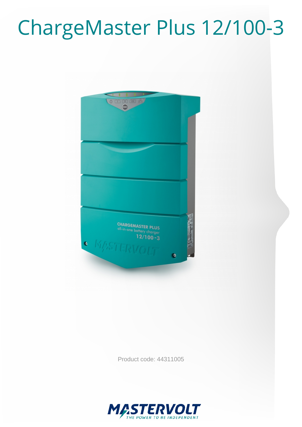# ChargeMaster Plus 12/100-3



Product code: 44311005

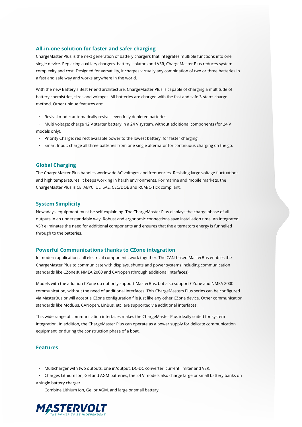### **All-in-one solution for faster and safer charging**

ChargeMaster Plus is the next generation of battery chargers that integrates multiple functions into one single device. Replacing auxiliary chargers, battery isolators and VSR, ChargeMaster Plus reduces system complexity and cost. Designed for versatility, it charges virtually any combination of two or three batteries in a fast and safe way and works anywhere in the world.

With the new Battery's Best Friend architecture, ChargeMaster Plus is capable of charging a multitude of battery chemistries, sizes and voltages. All batteries are charged with the fast and safe 3-step+ charge method. Other unique features are:

· Revival mode: automatically revives even fully depleted batteries.

· Multi voltage: charge 12 V starter battery in a 24 V system, without additional components (for 24 V models only).

- · Priority Charge: redirect available power to the lowest battery, for faster charging.
- · Smart Input: charge all three batteries from one single alternator for continuous charging on the go.

### **Global Charging**

The ChargeMaster Plus handles worldwide AC voltages and frequencies. Resisting large voltage fluctuations and high temperatures, it keeps working in harsh environments. For marine and mobile markets, the ChargeMaster Plus is CE, ABYC, UL, SAE, CEC/DOE and RCM/C-Tick compliant.

### **System Simplicity**

Nowadays, equipment must be self-explaining. The ChargeMaster Plus displays the charge phase of all outputs in an understandable way. Robust and ergonomic connections save installation time. An integrated VSR eliminates the need for additional components and ensures that the alternators energy is funnelled through to the batteries.

### **Powerful Communications thanks to CZone integration**

In modern applications, all electrical components work together. The CAN-based MasterBus enables the ChargeMaster Plus to communicate with displays, shunts and power systems including communication standards like CZone®, NMEA 2000 and CANopen (through additional interfaces).

Models with the addition CZone do not only support MasterBus, but also support CZone and NMEA 2000 communication, without the need of additional interfaces. This ChargeMasters Plus series can be configured via MasterBus or will accept a CZone configuration file just like any other CZone device. Other communication standards like ModBus, CANopen, LinBus, etc. are supported via additional interfaces.

This wide range of communication interfaces makes the ChargeMaster Plus ideally suited for system integration. In addition, the ChargeMaster Plus can operate as a power supply for delicate communication equipment, or during the construction phase of a boat.

### **Features**

· Multicharger with two outputs, one in/output, DC-DC converter, current limiter and VSR.

· Charges Lithium Ion, Gel and AGM batteries, the 24 V models also charge large or small battery banks on a single battery charger.

· Combine Lithium Ion, Gel or AGM, and large or small battery

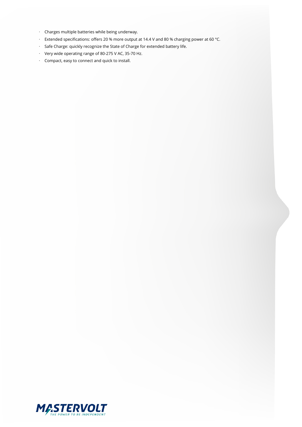- · Charges multiple batteries while being underway.
- · Extended specifications: offers 20 % more output at 14.4 V and 80 % charging power at 60 °C.
- · Safe Charge: quickly recognize the State of Charge for extended battery life.
- · Very wide operating range of 80-275 V AC, 35-70 Hz.
- · Compact, easy to connect and quick to install.